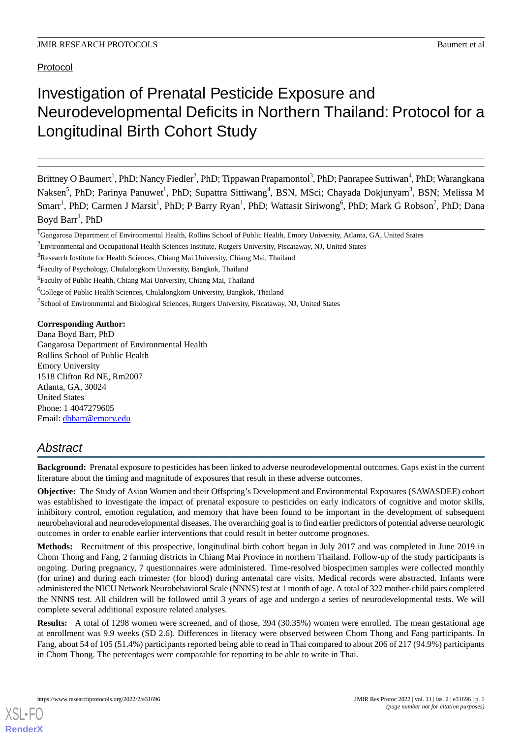Protocol

# Investigation of Prenatal Pesticide Exposure and Neurodevelopmental Deficits in Northern Thailand: Protocol for a Longitudinal Birth Cohort Study

Brittney O Baumert<sup>1</sup>, PhD; Nancy Fiedler<sup>2</sup>, PhD; Tippawan Prapamontol<sup>3</sup>, PhD; Panrapee Suttiwan<sup>4</sup>, PhD; Warangkana Naksen<sup>5</sup>, PhD; Parinya Panuwet<sup>1</sup>, PhD; Supattra Sittiwang<sup>4</sup>, BSN, MSci; Chayada Dokjunyam<sup>3</sup>, BSN; Melissa M Smarr<sup>1</sup>, PhD; Carmen J Marsit<sup>1</sup>, PhD; P Barry Ryan<sup>1</sup>, PhD; Wattasit Siriwong<sup>6</sup>, PhD; Mark G Robson<sup>7</sup>, PhD; Dana Boyd Barr<sup>1</sup>, PhD

<sup>7</sup>School of Environmental and Biological Sciences, Rutgers University, Piscataway, NJ, United States

**Corresponding Author:**

Dana Boyd Barr, PhD Gangarosa Department of Environmental Health Rollins School of Public Health Emory University 1518 Clifton Rd NE, Rm2007 Atlanta, GA, 30024 United States Phone: 1 4047279605 Email: [dbbarr@emory.edu](mailto:dbbarr@emory.edu)

# *Abstract*

**Background:** Prenatal exposure to pesticides has been linked to adverse neurodevelopmental outcomes. Gaps exist in the current literature about the timing and magnitude of exposures that result in these adverse outcomes.

**Objective:** The Study of Asian Women and their Offspring's Development and Environmental Exposures (SAWASDEE) cohort was established to investigate the impact of prenatal exposure to pesticides on early indicators of cognitive and motor skills, inhibitory control, emotion regulation, and memory that have been found to be important in the development of subsequent neurobehavioral and neurodevelopmental diseases. The overarching goal is to find earlier predictors of potential adverse neurologic outcomes in order to enable earlier interventions that could result in better outcome prognoses.

**Methods:** Recruitment of this prospective, longitudinal birth cohort began in July 2017 and was completed in June 2019 in Chom Thong and Fang, 2 farming districts in Chiang Mai Province in northern Thailand. Follow-up of the study participants is ongoing. During pregnancy, 7 questionnaires were administered. Time-resolved biospecimen samples were collected monthly (for urine) and during each trimester (for blood) during antenatal care visits. Medical records were abstracted. Infants were administered the NICU Network Neurobehavioral Scale (NNNS) test at 1 month of age. A total of 322 mother-child pairs completed the NNNS test. All children will be followed until 3 years of age and undergo a series of neurodevelopmental tests. We will complete several additional exposure related analyses.

**Results:** A total of 1298 women were screened, and of those, 394 (30.35%) women were enrolled. The mean gestational age at enrollment was 9.9 weeks (SD 2.6). Differences in literacy were observed between Chom Thong and Fang participants. In Fang, about 54 of 105 (51.4%) participants reported being able to read in Thai compared to about 206 of 217 (94.9%) participants in Chom Thong. The percentages were comparable for reporting to be able to write in Thai.

<sup>&</sup>lt;sup>1</sup>Gangarosa Department of Environmental Health, Rollins School of Public Health, Emory University, Atlanta, GA, United States

<sup>2</sup>Environmental and Occupational Health Sciences Institute, Rutgers University, Piscataway, NJ, United States

<sup>&</sup>lt;sup>3</sup>Research Institute for Health Sciences, Chiang Mai University, Chiang Mai, Thailand

<sup>&</sup>lt;sup>4</sup>Faculty of Psychology, Chulalongkorn University, Bangkok, Thailand

<sup>&</sup>lt;sup>5</sup> Faculty of Public Health, Chiang Mai University, Chiang Mai, Thailand

<sup>&</sup>lt;sup>6</sup>College of Public Health Sciences, Chulalongkorn University, Bangkok, Thailand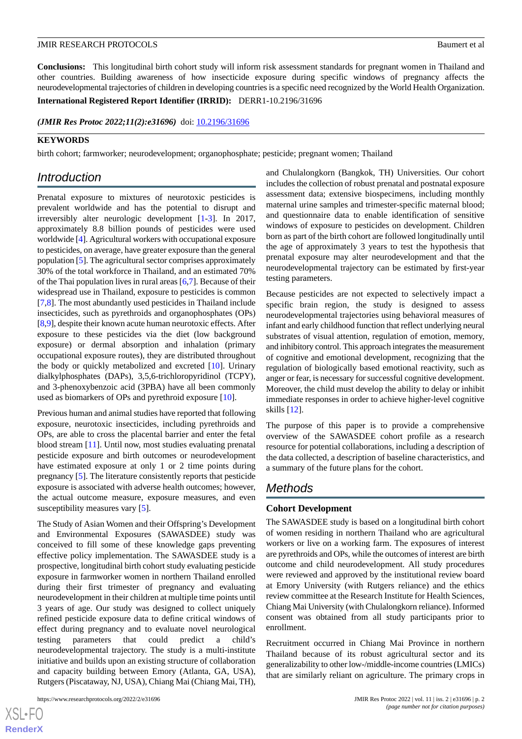**Conclusions:** This longitudinal birth cohort study will inform risk assessment standards for pregnant women in Thailand and other countries. Building awareness of how insecticide exposure during specific windows of pregnancy affects the neurodevelopmental trajectories of children in developing countries is a specific need recognized by the World Health Organization.

**International Registered Report Identifier (IRRID):** DERR1-10.2196/31696

(JMIR Res Protoc 2022;11(2):e31696) doi: [10.2196/31696](http://dx.doi.org/10.2196/31696)

### **KEYWORDS**

birth cohort; farmworker; neurodevelopment; organophosphate; pesticide; pregnant women; Thailand

# *Introduction*

Prenatal exposure to mixtures of neurotoxic pesticides is prevalent worldwide and has the potential to disrupt and irreversibly alter neurologic development [[1](#page-13-0)[-3](#page-13-1)]. In 2017, approximately 8.8 billion pounds of pesticides were used worldwide [[4](#page-13-2)]. Agricultural workers with occupational exposure to pesticides, on average, have greater exposure than the general population [[5\]](#page-13-3). The agricultural sector comprises approximately 30% of the total workforce in Thailand, and an estimated 70% of the Thai population lives in rural areas [[6](#page-13-4)[,7](#page-13-5)]. Because of their widespread use in Thailand, exposure to pesticides is common [[7](#page-13-5)[,8](#page-13-6)]. The most abundantly used pesticides in Thailand include insecticides, such as pyrethroids and organophosphates (OPs) [[8,](#page-13-6)[9](#page-13-7)], despite their known acute human neurotoxic effects. After exposure to these pesticides via the diet (low background exposure) or dermal absorption and inhalation (primary occupational exposure routes), they are distributed throughout the body or quickly metabolized and excreted [[10\]](#page-14-0). Urinary dialkylphosphates (DAPs), 3,5,6-trichloropyridinol (TCPY), and 3-phenoxybenzoic acid (3PBA) have all been commonly used as biomarkers of OPs and pyrethroid exposure [\[10](#page-14-0)].

Previous human and animal studies have reported that following exposure, neurotoxic insecticides, including pyrethroids and OPs, are able to cross the placental barrier and enter the fetal blood stream [\[11](#page-14-1)]. Until now, most studies evaluating prenatal pesticide exposure and birth outcomes or neurodevelopment have estimated exposure at only 1 or 2 time points during pregnancy [[5](#page-13-3)]. The literature consistently reports that pesticide exposure is associated with adverse health outcomes; however, the actual outcome measure, exposure measures, and even susceptibility measures vary [\[5](#page-13-3)].

The Study of Asian Women and their Offspring's Development and Environmental Exposures (SAWASDEE) study was conceived to fill some of these knowledge gaps preventing effective policy implementation. The SAWASDEE study is a prospective, longitudinal birth cohort study evaluating pesticide exposure in farmworker women in northern Thailand enrolled during their first trimester of pregnancy and evaluating neurodevelopment in their children at multiple time points until 3 years of age. Our study was designed to collect uniquely refined pesticide exposure data to define critical windows of effect during pregnancy and to evaluate novel neurological testing parameters that could predict a child's neurodevelopmental trajectory. The study is a multi-institute initiative and builds upon an existing structure of collaboration and capacity building between Emory (Atlanta, GA, USA), Rutgers (Piscataway, NJ, USA), Chiang Mai (Chiang Mai, TH),

and Chulalongkorn (Bangkok, TH) Universities. Our cohort includes the collection of robust prenatal and postnatal exposure assessment data; extensive biospecimens, including monthly maternal urine samples and trimester-specific maternal blood; and questionnaire data to enable identification of sensitive windows of exposure to pesticides on development. Children born as part of the birth cohort are followed longitudinally until the age of approximately 3 years to test the hypothesis that prenatal exposure may alter neurodevelopment and that the neurodevelopmental trajectory can be estimated by first-year testing parameters.

Because pesticides are not expected to selectively impact a specific brain region, the study is designed to assess neurodevelopmental trajectories using behavioral measures of infant and early childhood function that reflect underlying neural substrates of visual attention, regulation of emotion, memory, and inhibitory control. This approach integrates the measurement of cognitive and emotional development, recognizing that the regulation of biologically based emotional reactivity, such as anger or fear, is necessary for successful cognitive development. Moreover, the child must develop the ability to delay or inhibit immediate responses in order to achieve higher-level cognitive skills [[12\]](#page-14-2).

The purpose of this paper is to provide a comprehensive overview of the SAWASDEE cohort profile as a research resource for potential collaborations, including a description of the data collected, a description of baseline characteristics, and a summary of the future plans for the cohort.

# *Methods*

#### **Cohort Development**

The SAWASDEE study is based on a longitudinal birth cohort of women residing in northern Thailand who are agricultural workers or live on a working farm. The exposures of interest are pyrethroids and OPs, while the outcomes of interest are birth outcome and child neurodevelopment. All study procedures were reviewed and approved by the institutional review board at Emory University (with Rutgers reliance) and the ethics review committee at the Research Institute for Health Sciences, Chiang Mai University (with Chulalongkorn reliance). Informed consent was obtained from all study participants prior to enrollment.

Recruitment occurred in Chiang Mai Province in northern Thailand because of its robust agricultural sector and its generalizability to other low-/middle-income countries (LMICs) that are similarly reliant on agriculture. The primary crops in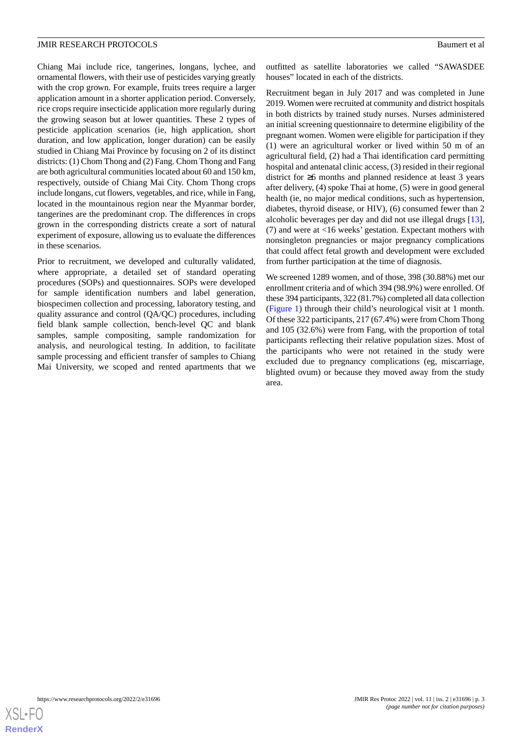Chiang Mai include rice, tangerines, longans, lychee, and ornamental flowers, with their use of pesticides varying greatly with the crop grown. For example, fruits trees require a larger application amount in a shorter application period. Conversely, rice crops require insecticide application more regularly during the growing season but at lower quantities. These 2 types of pesticide application scenarios (ie, high application, short duration, and low application, longer duration) can be easily studied in Chiang Mai Province by focusing on 2 of its distinct districts: (1) Chom Thong and (2) Fang. Chom Thong and Fang are both agricultural communities located about 60 and 150 km, respectively, outside of Chiang Mai City. Chom Thong crops include longans, cut flowers, vegetables, and rice, while in Fang, located in the mountainous region near the Myanmar border, tangerines are the predominant crop. The differences in crops grown in the corresponding districts create a sort of natural experiment of exposure, allowing us to evaluate the differences in these scenarios.

Prior to recruitment, we developed and culturally validated, where appropriate, a detailed set of standard operating procedures (SOPs) and questionnaires. SOPs were developed for sample identification numbers and label generation, biospecimen collection and processing, laboratory testing, and quality assurance and control (QA/QC) procedures, including field blank sample collection, bench-level QC and blank samples, sample compositing, sample randomization for analysis, and neurological testing. In addition, to facilitate sample processing and efficient transfer of samples to Chiang Mai University, we scoped and rented apartments that we outfitted as satellite laboratories we called "SAWASDEE houses" located in each of the districts.

Recruitment began in July 2017 and was completed in June 2019. Women were recruited at community and district hospitals in both districts by trained study nurses. Nurses administered an initial screening questionnaire to determine eligibility of the pregnant women. Women were eligible for participation if they (1) were an agricultural worker or lived within 50 m of an agricultural field, (2) had a Thai identification card permitting hospital and antenatal clinic access, (3) resided in their regional district for ≥6 months and planned residence at least 3 years after delivery, (4) spoke Thai at home, (5) were in good general health (ie, no major medical conditions, such as hypertension, diabetes, thyroid disease, or HIV), (6) consumed fewer than 2 alcoholic beverages per day and did not use illegal drugs [[13\]](#page-14-3), (7) and were at <16 weeks' gestation. Expectant mothers with nonsingleton pregnancies or major pregnancy complications that could affect fetal growth and development were excluded from further participation at the time of diagnosis.

We screened 1289 women, and of those, 398 (30.88%) met our enrollment criteria and of which 394 (98.9%) were enrolled. Of these 394 participants, 322 (81.7%) completed all data collection ([Figure 1](#page-3-0)) through their child's neurological visit at 1 month. Of these 322 participants, 217 (67.4%) were from Chom Thong and 105 (32.6%) were from Fang, with the proportion of total participants reflecting their relative population sizes. Most of the participants who were not retained in the study were excluded due to pregnancy complications (eg, miscarriage, blighted ovum) or because they moved away from the study area.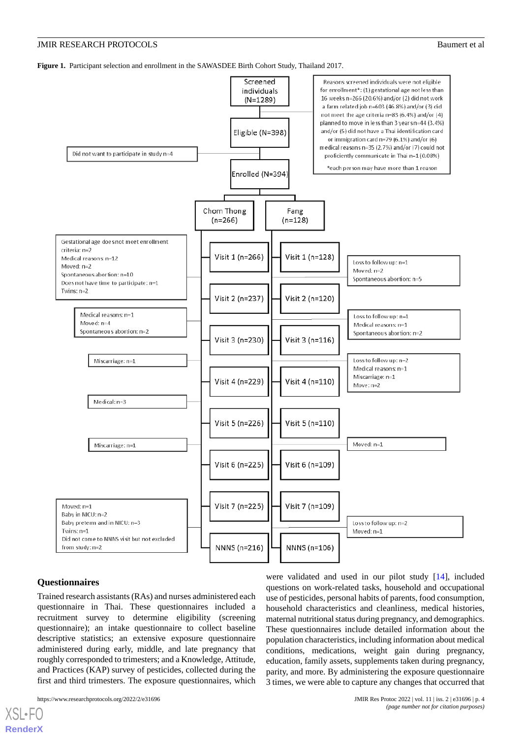<span id="page-3-0"></span>**Figure 1.** Participant selection and enrollment in the SAWASDEE Birth Cohort Study, Thailand 2017.



#### **Questionnaires**

[XSL](http://www.w3.org/Style/XSL)•FO **[RenderX](http://www.renderx.com/)**

Trained research assistants (RAs) and nurses administered each questionnaire in Thai. These questionnaires included a recruitment survey to determine eligibility (screening questionnaire); an intake questionnaire to collect baseline descriptive statistics; an extensive exposure questionnaire administered during early, middle, and late pregnancy that roughly corresponded to trimesters; and a Knowledge, Attitude, and Practices (KAP) survey of pesticides, collected during the first and third trimesters. The exposure questionnaires, which

were validated and used in our pilot study [\[14](#page-14-4)], included questions on work-related tasks, household and occupational use of pesticides, personal habits of parents, food consumption, household characteristics and cleanliness, medical histories, maternal nutritional status during pregnancy, and demographics. These questionnaires include detailed information about the population characteristics, including information about medical conditions, medications, weight gain during pregnancy, education, family assets, supplements taken during pregnancy, parity, and more. By administering the exposure questionnaire 3 times, we were able to capture any changes that occurred that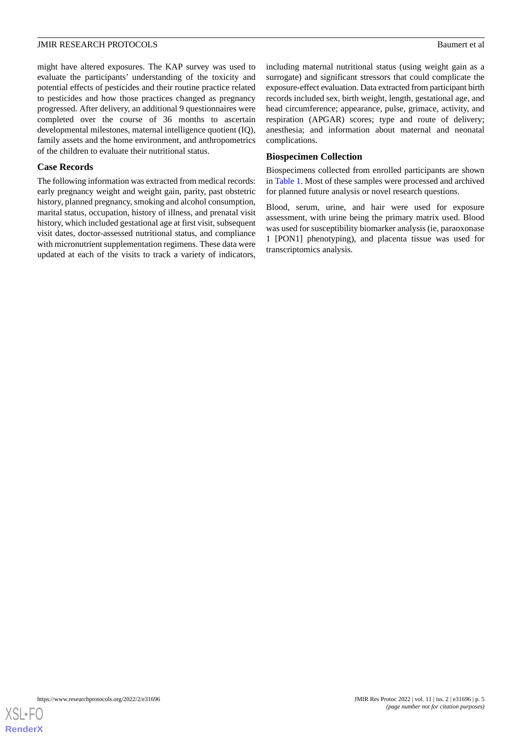might have altered exposures. The KAP survey was used to evaluate the participants' understanding of the toxicity and potential effects of pesticides and their routine practice related to pesticides and how those practices changed as pregnancy progressed. After delivery, an additional 9 questionnaires were completed over the course of 36 months to ascertain developmental milestones, maternal intelligence quotient (IQ), family assets and the home environment, and anthropometrics of the children to evaluate their nutritional status.

#### **Case Records**

The following information was extracted from medical records: early pregnancy weight and weight gain, parity, past obstetric history, planned pregnancy, smoking and alcohol consumption, marital status, occupation, history of illness, and prenatal visit history, which included gestational age at first visit, subsequent visit dates, doctor-assessed nutritional status, and compliance with micronutrient supplementation regimens. These data were updated at each of the visits to track a variety of indicators,

including maternal nutritional status (using weight gain as a surrogate) and significant stressors that could complicate the exposure-effect evaluation. Data extracted from participant birth records included sex, birth weight, length, gestational age, and head circumference; appearance, pulse, grimace, activity, and respiration (APGAR) scores; type and route of delivery; anesthesia; and information about maternal and neonatal complications.

#### **Biospecimen Collection**

Biospecimens collected from enrolled participants are shown in [Table 1.](#page-5-0) Most of these samples were processed and archived for planned future analysis or novel research questions.

Blood, serum, urine, and hair were used for exposure assessment, with urine being the primary matrix used. Blood was used for susceptibility biomarker analysis (ie, paraoxonase 1 [PON1] phenotyping), and placenta tissue was used for transcriptomics analysis.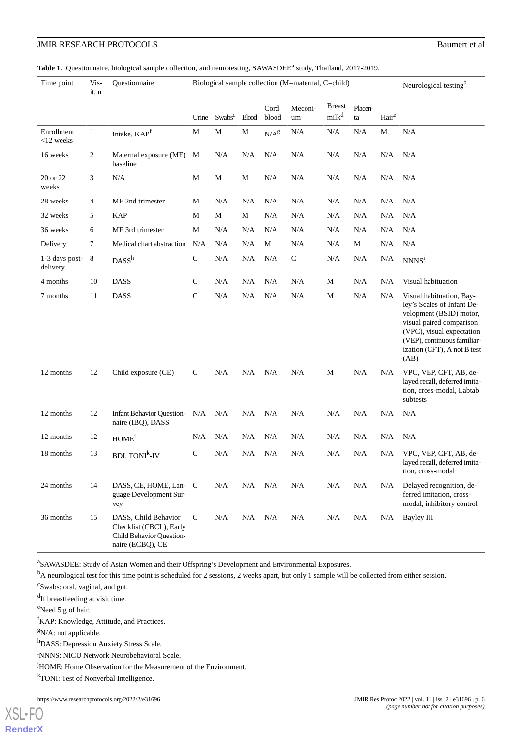<span id="page-5-0"></span>

|  |  |  | Table 1. Questionnaire, biological sample collection, and neurotesting, SAWASDEE <sup>a</sup> study, Thailand, 2017-2019. |  |  |  |  |  |
|--|--|--|---------------------------------------------------------------------------------------------------------------------------|--|--|--|--|--|
|--|--|--|---------------------------------------------------------------------------------------------------------------------------|--|--|--|--|--|

| Time point                 | Vis-<br>it, n | Questionnaire                                                                                   | Biological sample collection (M=maternal, C=child) |                    |              |                  |               |                                    | Neurological testing <sup>b</sup> |                   |                                                                                                                                                                                                                  |
|----------------------------|---------------|-------------------------------------------------------------------------------------------------|----------------------------------------------------|--------------------|--------------|------------------|---------------|------------------------------------|-----------------------------------|-------------------|------------------------------------------------------------------------------------------------------------------------------------------------------------------------------------------------------------------|
|                            |               |                                                                                                 | Urine                                              | Swabs <sup>c</sup> | <b>Blood</b> | Cord<br>blood    | Meconi-<br>um | <b>Breast</b><br>milk <sup>d</sup> | Placen-<br>ta                     | Hair <sup>e</sup> |                                                                                                                                                                                                                  |
| Enrollment<br>$<$ 12 weeks | $\mathbf{1}$  | Intake, KAPf                                                                                    | M                                                  | $\mathbf M$        | M            | N/A <sup>g</sup> | N/A           | N/A                                | $\rm N/A$                         | M                 | N/A                                                                                                                                                                                                              |
| 16 weeks                   | 2             | Maternal exposure (ME)<br>baseline                                                              | M                                                  | N/A                | N/A          | N/A              | N/A           | N/A                                | N/A                               | N/A               | N/A                                                                                                                                                                                                              |
| 20 or 22<br>weeks          | 3             | N/A                                                                                             | М                                                  | M                  | М            | N/A              | N/A           | N/A                                | N/A                               | N/A               | N/A                                                                                                                                                                                                              |
| 28 weeks                   | 4             | ME 2nd trimester                                                                                | M                                                  | N/A                | N/A          | N/A              | N/A           | N/A                                | N/A                               | N/A               | N/A                                                                                                                                                                                                              |
| 32 weeks                   | 5             | <b>KAP</b>                                                                                      | M                                                  | M                  | M            | N/A              | N/A           | N/A                                | N/A                               | N/A               | N/A                                                                                                                                                                                                              |
| 36 weeks                   | 6             | ME 3rd trimester                                                                                | M                                                  | N/A                | N/A          | N/A              | N/A           | N/A                                | N/A                               | N/A               | N/A                                                                                                                                                                                                              |
| Delivery                   | 7             | Medical chart abstraction                                                                       | N/A                                                | N/A                | N/A          | M                | N/A           | N/A                                | M                                 | N/A               | N/A                                                                                                                                                                                                              |
| 1-3 days post-<br>delivery | 8             | DASS <sup>h</sup>                                                                               | $\mathbf C$                                        | N/A                | N/A          | N/A              | $\mathsf C$   | N/A                                | N/A                               | N/A               | NNNS <sup>i</sup>                                                                                                                                                                                                |
| 4 months                   | 10            | <b>DASS</b>                                                                                     | $\mathsf{C}$                                       | N/A                | N/A          | N/A              | N/A           | М                                  | N/A                               | N/A               | Visual habituation                                                                                                                                                                                               |
| 7 months                   | 11            | <b>DASS</b>                                                                                     | $\mathsf{C}$                                       | N/A                | N/A          | N/A              | N/A           | М                                  | N/A                               | N/A               | Visual habituation, Bay-<br>ley's Scales of Infant De-<br>velopment (BSID) motor,<br>visual paired comparison<br>(VPC), visual expectation<br>(VEP), continuous familiar-<br>ization (CFT), A not B test<br>(AB) |
| 12 months                  | 12            | Child exposure (CE)                                                                             | $\mathsf{C}$                                       | N/A                | N/A          | N/A              | $\rm N/A$     | $\mathbf M$                        | N/A                               | N/A               | VPC, VEP, CFT, AB, de-<br>layed recall, deferred imita-<br>tion, cross-modal, Labtab<br>subtests                                                                                                                 |
| 12 months                  | 12            | <b>Infant Behavior Question-</b><br>naire (IBQ), DASS                                           | N/A                                                | N/A                | N/A          | N/A              | $\rm N/A$     | N/A                                | N/A                               | N/A               | $\rm N/A$                                                                                                                                                                                                        |
| 12 months                  | 12            | HOME <sup>j</sup>                                                                               | N/A                                                | N/A                | N/A          | N/A              | N/A           | N/A                                | N/A                               | N/A               | N/A                                                                                                                                                                                                              |
| 18 months                  | 13            | <b>BDI, TONI<sup>k</sup>-IV</b>                                                                 | ${\bf C}$                                          | N/A                | N/A          | N/A              | N/A           | N/A                                | N/A                               | N/A               | VPC, VEP, CFT, AB, de-<br>layed recall, deferred imita-<br>tion, cross-modal                                                                                                                                     |
| 24 months                  | 14            | DASS, CE, HOME, Lan- C<br>guage Development Sur-<br>vey                                         |                                                    | N/A                | N/A          | N/A              | N/A           | N/A                                | N/A                               | N/A               | Delayed recognition, de-<br>ferred imitation, cross-<br>modal, inhibitory control                                                                                                                                |
| 36 months                  | 15            | DASS, Child Behavior<br>Checklist (CBCL), Early<br>Child Behavior Question-<br>naire (ECBO), CE | $\mathsf{C}$                                       | N/A                | $N/A$ $N/A$  |                  | N/A           | N/A                                | N/A                               | N/A               | Bayley III                                                                                                                                                                                                       |

<sup>a</sup>SAWASDEE: Study of Asian Women and their Offspring's Development and Environmental Exposures.

<sup>b</sup>A neurological test for this time point is scheduled for 2 sessions, 2 weeks apart, but only 1 sample will be collected from either session.

<sup>c</sup>Swabs: oral, vaginal, and gut.

<sup>d</sup>If breastfeeding at visit time.

<sup>e</sup>Need 5 g of hair.

<sup>f</sup>KAP: Knowledge, Attitude, and Practices.

 $gN/A$ : not applicable.

<sup>h</sup>DASS: Depression Anxiety Stress Scale.

<sup>i</sup>NNNS: NICU Network Neurobehavioral Scale.

<sup>j</sup>HOME: Home Observation for the Measurement of the Environment.

<sup>k</sup>TONI: Test of Nonverbal Intelligence.

https://www.researchprotocols.org/2022/2/e31696 JMIR Res Protoc 2022 | vol. 11 | iss. 2 | e31696 | p. 6

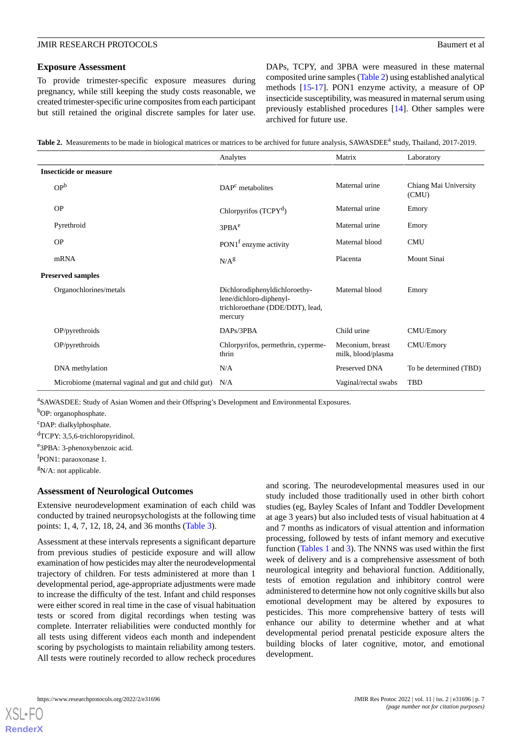#### **Exposure Assessment**

To provide trimester-specific exposure measures during pregnancy, while still keeping the study costs reasonable, we created trimester-specific urine composites from each participant but still retained the original discrete samples for later use. DAPs, TCPY, and 3PBA were measured in these maternal composited urine samples ([Table 2\)](#page-6-0) using established analytical methods [\[15](#page-14-5)-[17\]](#page-14-6). PON1 enzyme activity, a measure of OP insecticide susceptibility, was measured in maternal serum using previously established procedures [[14\]](#page-14-4). Other samples were archived for future use.

<span id="page-6-0"></span>Table 2. Measurements to be made in biological matrices or matrices to be archived for future analysis, SAWASDEE<sup>a</sup> study, Thailand, 2017-2019.

|                                                     | Analytes                                                                                                | Matrix                                 | Laboratory                     |
|-----------------------------------------------------|---------------------------------------------------------------------------------------------------------|----------------------------------------|--------------------------------|
| <b>Insecticide or measure</b>                       |                                                                                                         |                                        |                                |
| OP <sup>b</sup>                                     | $DAPc$ metabolites                                                                                      | Maternal urine                         | Chiang Mai University<br>(CMU) |
| <b>OP</b>                                           | Chlorpyrifos (TCPY <sup>d</sup> )                                                                       | Maternal urine                         | Emory                          |
| Pyrethroid                                          | 3PBA <sup>e</sup>                                                                                       | Maternal urine                         | Emory                          |
| OP                                                  | PON1 <sup>f</sup> enzyme activity                                                                       | Maternal blood                         | <b>CMU</b>                     |
| mRNA                                                | $N/A^g$                                                                                                 | Placenta                               | Mount Sinai                    |
| <b>Preserved samples</b>                            |                                                                                                         |                                        |                                |
| Organochlorines/metals                              | Dichlorodiphenyldichloroethy-<br>lene/dichloro-diphenyl-<br>trichloroethane (DDE/DDT), lead,<br>mercury | Maternal blood                         | Emory                          |
| OP/pyrethroids                                      | DAPs/3PBA                                                                                               | Child urine                            | CMU/Emory                      |
| OP/pyrethroids                                      | Chlorpyrifos, permethrin, cyperme-<br>thrin                                                             | Meconium, breast<br>milk, blood/plasma | CMU/Emory                      |
| DNA methylation                                     | N/A                                                                                                     | Preserved DNA                          | To be determined (TBD)         |
| Microbiome (maternal vaginal and gut and child gut) | N/A                                                                                                     | Vaginal/rectal swabs                   | TBD                            |

<sup>a</sup>SAWASDEE: Study of Asian Women and their Offspring's Development and Environmental Exposures.

b<sub>OP:</sub> organophosphate.

<sup>c</sup>DAP: dialkylphosphate.

<sup>d</sup>TCPY: 3,5,6-trichloropyridinol.

e<sup>3</sup>PBA: 3-phenoxybenzoic acid.

f PON1: paraoxonase 1.

 $\rm{^{g}N/A:}$  not applicable.

#### **Assessment of Neurological Outcomes**

Extensive neurodevelopment examination of each child was conducted by trained neuropsychologists at the following time points: 1, 4, 7, 12, 18, 24, and 36 months ([Table 3](#page-7-0)).

Assessment at these intervals represents a significant departure from previous studies of pesticide exposure and will allow examination of how pesticides may alter the neurodevelopmental trajectory of children. For tests administered at more than 1 developmental period, age-appropriate adjustments were made to increase the difficulty of the test. Infant and child responses were either scored in real time in the case of visual habituation tests or scored from digital recordings when testing was complete. Interrater reliabilities were conducted monthly for all tests using different videos each month and independent scoring by psychologists to maintain reliability among testers. All tests were routinely recorded to allow recheck procedures

and scoring. The neurodevelopmental measures used in our study included those traditionally used in other birth cohort studies (eg, Bayley Scales of Infant and Toddler Development at age 3 years) but also included tests of visual habituation at 4 and 7 months as indicators of visual attention and information processing, followed by tests of infant memory and executive function ([Tables 1](#page-5-0) and [3](#page-7-0)). The NNNS was used within the first week of delivery and is a comprehensive assessment of both neurological integrity and behavioral function. Additionally, tests of emotion regulation and inhibitory control were administered to determine how not only cognitive skills but also emotional development may be altered by exposures to pesticides. This more comprehensive battery of tests will enhance our ability to determine whether and at what developmental period prenatal pesticide exposure alters the building blocks of later cognitive, motor, and emotional development.

**[RenderX](http://www.renderx.com/)**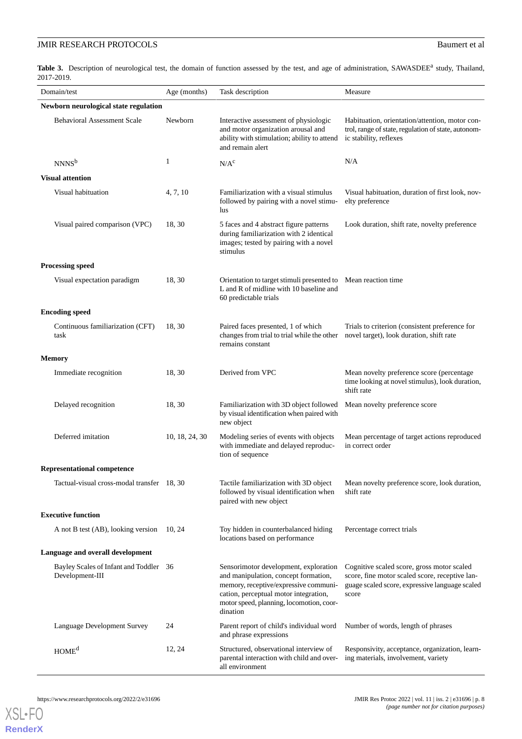<span id="page-7-0"></span>Table 3. Description of neurological test, the domain of function assessed by the test, and age of administration, SAWASDEE<sup>a</sup> study, Thailand, 2017-2019.

| Domain/test                                               | Age (months)   | Task description                                                                                                                                                                                                        | Measure                                                                                                                                                 |
|-----------------------------------------------------------|----------------|-------------------------------------------------------------------------------------------------------------------------------------------------------------------------------------------------------------------------|---------------------------------------------------------------------------------------------------------------------------------------------------------|
| Newborn neurological state regulation                     |                |                                                                                                                                                                                                                         |                                                                                                                                                         |
| <b>Behavioral Assessment Scale</b>                        | Newborn        | Interactive assessment of physiologic<br>and motor organization arousal and<br>ability with stimulation; ability to attend<br>and remain alert                                                                          | Habituation, orientation/attention, motor con-<br>trol, range of state, regulation of state, autonom-<br>ic stability, reflexes                         |
| NNNS <sup>b</sup>                                         | 1              | N/A <sup>c</sup>                                                                                                                                                                                                        | N/A                                                                                                                                                     |
| <b>Visual attention</b>                                   |                |                                                                                                                                                                                                                         |                                                                                                                                                         |
| Visual habituation                                        | 4, 7, 10       | Familiarization with a visual stimulus<br>followed by pairing with a novel stimu-<br>lus                                                                                                                                | Visual habituation, duration of first look, nov-<br>elty preference                                                                                     |
| Visual paired comparison (VPC)                            | 18, 30         | 5 faces and 4 abstract figure patterns<br>during familiarization with 2 identical<br>images; tested by pairing with a novel<br>stimulus                                                                                 | Look duration, shift rate, novelty preference                                                                                                           |
| <b>Processing speed</b>                                   |                |                                                                                                                                                                                                                         |                                                                                                                                                         |
| Visual expectation paradigm                               | 18, 30         | Orientation to target stimuli presented to Mean reaction time<br>L and R of midline with 10 baseline and<br>60 predictable trials                                                                                       |                                                                                                                                                         |
| <b>Encoding speed</b>                                     |                |                                                                                                                                                                                                                         |                                                                                                                                                         |
| Continuous familiarization (CFT)<br>task                  | 18, 30         | Paired faces presented, 1 of which<br>changes from trial to trial while the other<br>remains constant                                                                                                                   | Trials to criterion (consistent preference for<br>novel target), look duration, shift rate                                                              |
| <b>Memory</b>                                             |                |                                                                                                                                                                                                                         |                                                                                                                                                         |
| Immediate recognition                                     | 18, 30         | Derived from VPC                                                                                                                                                                                                        | Mean novelty preference score (percentage<br>time looking at novel stimulus), look duration,<br>shift rate                                              |
| Delayed recognition                                       | 18, 30         | Familiarization with 3D object followed<br>by visual identification when paired with<br>new object                                                                                                                      | Mean novelty preference score                                                                                                                           |
| Deferred imitation                                        | 10, 18, 24, 30 | Modeling series of events with objects<br>with immediate and delayed reproduc-<br>tion of sequence                                                                                                                      | Mean percentage of target actions reproduced<br>in correct order                                                                                        |
| <b>Representational competence</b>                        |                |                                                                                                                                                                                                                         |                                                                                                                                                         |
| Tactual-visual cross-modal transfer 18, 30                |                | Tactile familiarization with 3D object<br>followed by visual identification when<br>paired with new object                                                                                                              | Mean novelty preference score, look duration,<br>shift rate                                                                                             |
| <b>Executive function</b>                                 |                |                                                                                                                                                                                                                         |                                                                                                                                                         |
| A not B test (AB), looking version                        | 10, 24         | Toy hidden in counterbalanced hiding<br>locations based on performance                                                                                                                                                  | Percentage correct trials                                                                                                                               |
| Language and overall development                          |                |                                                                                                                                                                                                                         |                                                                                                                                                         |
| Bayley Scales of Infant and Toddler 36<br>Development-III |                | Sensorimotor development, exploration<br>and manipulation, concept formation,<br>memory, receptive/expressive communi-<br>cation, perceptual motor integration,<br>motor speed, planning, locomotion, coor-<br>dination | Cognitive scaled score, gross motor scaled<br>score, fine motor scaled score, receptive lan-<br>guage scaled score, expressive language scaled<br>score |
| Language Development Survey                               | 24             | Parent report of child's individual word<br>and phrase expressions                                                                                                                                                      | Number of words, length of phrases                                                                                                                      |
| HOME <sup>d</sup>                                         | 12, 24         | Structured, observational interview of<br>parental interaction with child and over-<br>all environment                                                                                                                  | Responsivity, acceptance, organization, learn-<br>ing materials, involvement, variety                                                                   |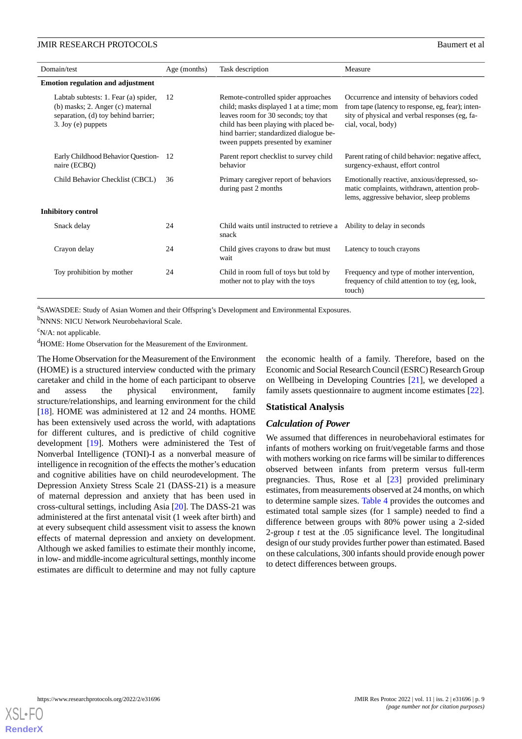| Domain/test                                                                                                                           | Age (months) | Task description                                                                                                                                                                                                                                   | Measure                                                                                                                                                                  |
|---------------------------------------------------------------------------------------------------------------------------------------|--------------|----------------------------------------------------------------------------------------------------------------------------------------------------------------------------------------------------------------------------------------------------|--------------------------------------------------------------------------------------------------------------------------------------------------------------------------|
| <b>Emotion regulation and adjustment</b>                                                                                              |              |                                                                                                                                                                                                                                                    |                                                                                                                                                                          |
| Labtab subtests: 1. Fear (a) spider,<br>(b) masks; 2. Anger (c) maternal<br>separation, (d) toy behind barrier;<br>3. Joy (e) puppets | 12           | Remote-controlled spider approaches<br>child; masks displayed 1 at a time; mom<br>leaves room for 30 seconds; toy that<br>child has been playing with placed be-<br>hind barrier; standardized dialogue be-<br>tween puppets presented by examiner | Occurrence and intensity of behaviors coded<br>from tape (latency to response, eg, fear); inten-<br>sity of physical and verbal responses (eg, fa-<br>cial, vocal, body) |
| Early Childhood Behavior Question-<br>naire (ECBQ)                                                                                    | -12          | Parent report checklist to survey child<br>behavior                                                                                                                                                                                                | Parent rating of child behavior: negative affect,<br>surgency-exhaust, effort control                                                                                    |
| Child Behavior Checklist (CBCL)                                                                                                       | 36           | Primary caregiver report of behaviors<br>during past 2 months                                                                                                                                                                                      | Emotionally reactive, anxious/depressed, so-<br>matic complaints, withdrawn, attention prob-<br>lems, aggressive behavior, sleep problems                                |
| <b>Inhibitory control</b>                                                                                                             |              |                                                                                                                                                                                                                                                    |                                                                                                                                                                          |
| Snack delay                                                                                                                           | 24           | Child waits until instructed to retrieve a Ability to delay in seconds<br>snack                                                                                                                                                                    |                                                                                                                                                                          |
| Crayon delay                                                                                                                          | 24           | Child gives crayons to draw but must<br>wait                                                                                                                                                                                                       | Latency to touch crayons                                                                                                                                                 |
| Toy prohibition by mother                                                                                                             | 24           | Child in room full of toys but told by<br>mother not to play with the toys                                                                                                                                                                         | Frequency and type of mother intervention,<br>frequency of child attention to toy (eg, look,<br>touch)                                                                   |

<sup>a</sup>SAWASDEE: Study of Asian Women and their Offspring's Development and Environmental Exposures.

<sup>b</sup>NNNS: NICU Network Neurobehavioral Scale.

 $\rm^c$ N/A: not applicable.

<sup>d</sup>HOME: Home Observation for the Measurement of the Environment.

The Home Observation for the Measurement of the Environment (HOME) is a structured interview conducted with the primary caretaker and child in the home of each participant to observe and assess the physical environment, family structure/relationships, and learning environment for the child [[18\]](#page-14-7). HOME was administered at 12 and 24 months. HOME has been extensively used across the world, with adaptations for different cultures, and is predictive of child cognitive development [\[19](#page-14-8)]. Mothers were administered the Test of Nonverbal Intelligence (TONI)-I as a nonverbal measure of intelligence in recognition of the effects the mother's education and cognitive abilities have on child neurodevelopment. The Depression Anxiety Stress Scale 21 (DASS-21) is a measure of maternal depression and anxiety that has been used in cross-cultural settings, including Asia [\[20](#page-14-9)]. The DASS-21 was administered at the first antenatal visit (1 week after birth) and at every subsequent child assessment visit to assess the known effects of maternal depression and anxiety on development. Although we asked families to estimate their monthly income, in low- and middle-income agricultural settings, monthly income estimates are difficult to determine and may not fully capture

the economic health of a family. Therefore, based on the Economic and Social Research Council (ESRC) Research Group on Wellbeing in Developing Countries [\[21](#page-14-10)], we developed a family assets questionnaire to augment income estimates [[22\]](#page-14-11).

#### **Statistical Analysis**

#### *Calculation of Power*

We assumed that differences in neurobehavioral estimates for infants of mothers working on fruit/vegetable farms and those with mothers working on rice farms will be similar to differences observed between infants from preterm versus full-term pregnancies. Thus, Rose et al [[23\]](#page-14-12) provided preliminary estimates, from measurements observed at 24 months, on which to determine sample sizes. [Table 4](#page-9-0) provides the outcomes and estimated total sample sizes (for 1 sample) needed to find a difference between groups with 80% power using a 2-sided 2-group *t* test at the .05 significance level. The longitudinal design of our study provides further power than estimated. Based on these calculations, 300 infants should provide enough power to detect differences between groups.

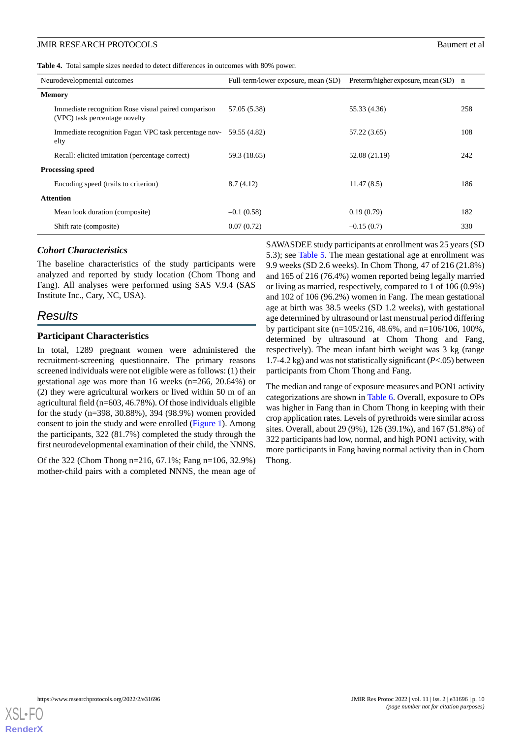<span id="page-9-0"></span>

|  |  |  |  |  |  |  | Table 4. Total sample sizes needed to detect differences in outcomes with 80% power. |  |  |  |  |  |
|--|--|--|--|--|--|--|--------------------------------------------------------------------------------------|--|--|--|--|--|
|--|--|--|--|--|--|--|--------------------------------------------------------------------------------------|--|--|--|--|--|

|                         | Neurodevelopmental outcomes                                                          | Full-term/lower exposure, mean (SD) | Preterm/higher exposure, mean (SD) n |     |
|-------------------------|--------------------------------------------------------------------------------------|-------------------------------------|--------------------------------------|-----|
| <b>Memory</b>           |                                                                                      |                                     |                                      |     |
|                         | Immediate recognition Rose visual paired comparison<br>(VPC) task percentage novelty | 57.05 (5.38)                        | 55.33 (4.36)                         | 258 |
|                         | Immediate recognition Fagan VPC task percentage nov-<br>elty                         | 59.55 (4.82)                        | 57.22 (3.65)                         | 108 |
|                         | Recall: elicited imitation (percentage correct)                                      | 59.3 (18.65)                        | 52.08 (21.19)                        | 242 |
| <b>Processing speed</b> |                                                                                      |                                     |                                      |     |
|                         | Encoding speed (trails to criterion)                                                 | 8.7(4.12)                           | 11.47(8.5)                           | 186 |
|                         | <b>Attention</b>                                                                     |                                     |                                      |     |
|                         | Mean look duration (composite)                                                       | $-0.1(0.58)$                        | 0.19(0.79)                           | 182 |
|                         | Shift rate (composite)                                                               | 0.07(0.72)                          | $-0.15(0.7)$                         | 330 |

#### *Cohort Characteristics*

The baseline characteristics of the study participants were analyzed and reported by study location (Chom Thong and Fang). All analyses were performed using SAS V.9.4 (SAS Institute Inc., Cary, NC, USA).

# *Results*

#### **Participant Characteristics**

In total, 1289 pregnant women were administered the recruitment-screening questionnaire. The primary reasons screened individuals were not eligible were as follows: (1) their gestational age was more than 16 weeks (n=266, 20.64%) or (2) they were agricultural workers or lived within 50 m of an agricultural field (n=603, 46.78%). Of those individuals eligible for the study (n=398, 30.88%), 394 (98.9%) women provided consent to join the study and were enrolled ([Figure 1](#page-3-0)). Among the participants, 322 (81.7%) completed the study through the first neurodevelopmental examination of their child, the NNNS.

Of the 322 (Chom Thong n=216, 67.1%; Fang n=106, 32.9%) mother-child pairs with a completed NNNS, the mean age of SAWASDEE study participants at enrollment was 25 years (SD 5.3); see [Table 5](#page-10-0). The mean gestational age at enrollment was 9.9 weeks (SD 2.6 weeks). In Chom Thong, 47 of 216 (21.8%) and 165 of 216 (76.4%) women reported being legally married or living as married, respectively, compared to 1 of 106 (0.9%) and 102 of 106 (96.2%) women in Fang. The mean gestational age at birth was 38.5 weeks (SD 1.2 weeks), with gestational age determined by ultrasound or last menstrual period differing by participant site (n=105/216, 48.6%, and n=106/106, 100%, determined by ultrasound at Chom Thong and Fang, respectively). The mean infant birth weight was 3 kg (range 1.7-4.2 kg) and was not statistically significant (*P*<.05) between participants from Chom Thong and Fang.

The median and range of exposure measures and PON1 activity categorizations are shown in [Table 6](#page-11-0). Overall, exposure to OPs was higher in Fang than in Chom Thong in keeping with their crop application rates. Levels of pyrethroids were similar across sites. Overall, about 29 (9%), 126 (39.1%), and 167 (51.8%) of 322 participants had low, normal, and high PON1 activity, with more participants in Fang having normal activity than in Chom Thong.

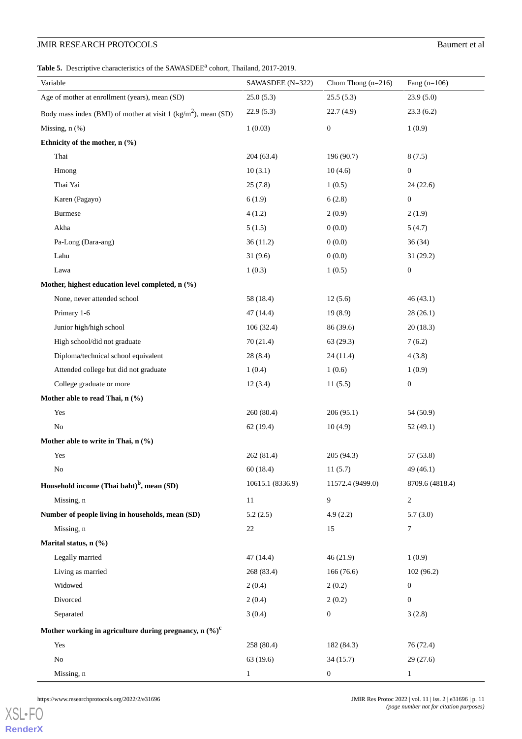<span id="page-10-0"></span>Table 5. Descriptive characteristics of the SAWASDEE<sup>a</sup> cohort, Thailand, 2017-2019.

| Variable                                                                     | SAWASDEE (N=322) | Chom Thong $(n=216)$ | Fang $(n=106)$   |
|------------------------------------------------------------------------------|------------------|----------------------|------------------|
| Age of mother at enrollment (years), mean (SD)                               | 25.0(5.3)        | 25.5(5.3)            | 23.9(5.0)        |
| Body mass index (BMI) of mother at visit $1$ (kg/m <sup>2</sup> ), mean (SD) | 22.9(5.3)        | 22.7(4.9)            | 23.3(6.2)        |
| Missing, $n$ $(\%)$                                                          | 1(0.03)          | $\boldsymbol{0}$     | 1(0.9)           |
| Ethnicity of the mother, n (%)                                               |                  |                      |                  |
| Thai                                                                         | 204(63.4)        | 196 (90.7)           | 8(7.5)           |
| Hmong                                                                        | 10(3.1)          | 10(4.6)              | $\boldsymbol{0}$ |
| Thai Yai                                                                     | 25(7.8)          | 1(0.5)               | 24(22.6)         |
| Karen (Pagayo)                                                               | 6(1.9)           | 6(2.8)               | $\boldsymbol{0}$ |
| Burmese                                                                      | 4(1.2)           | 2(0.9)               | 2(1.9)           |
| Akha                                                                         | 5(1.5)           | 0(0.0)               | 5(4.7)           |
| Pa-Long (Dara-ang)                                                           | 36(11.2)         | 0(0.0)               | 36(34)           |
| Lahu                                                                         | 31(9.6)          | 0(0.0)               | 31(29.2)         |
| Lawa                                                                         | 1(0.3)           | 1(0.5)               | $\boldsymbol{0}$ |
| Mother, highest education level completed, n (%)                             |                  |                      |                  |
| None, never attended school                                                  | 58 (18.4)        | 12(5.6)              | 46(43.1)         |
| Primary 1-6                                                                  | 47 (14.4)        | 19(8.9)              | 28(26.1)         |
| Junior high/high school                                                      | 106(32.4)        | 86 (39.6)            | 20(18.3)         |
| High school/did not graduate                                                 | 70(21.4)         | 63(29.3)             | 7(6.2)           |
| Diploma/technical school equivalent                                          | 28(8.4)          | 24(11.4)             | 4(3.8)           |
| Attended college but did not graduate                                        | 1(0.4)           | 1(0.6)               | 1(0.9)           |
| College graduate or more                                                     | 12(3.4)          | 11(5.5)              | $\boldsymbol{0}$ |
| Mother able to read Thai, n (%)                                              |                  |                      |                  |
| Yes                                                                          | 260 (80.4)       | 206(95.1)            | 54 (50.9)        |
| No                                                                           | 62(19.4)         | 10(4.9)              | 52(49.1)         |
| Mother able to write in Thai, n (%)                                          |                  |                      |                  |
| Yes                                                                          | 262 (81.4)       | 205 (94.3)           | 57 (53.8)        |
| No                                                                           | 60(18.4)         | 11(5.7)              | 49(46.1)         |
| Household income (Thai baht) <sup>b</sup> , mean (SD)                        | 10615.1 (8336.9) | 11572.4 (9499.0)     | 8709.6 (4818.4)  |
| Missing, n                                                                   | 11               | 9                    | $\overline{c}$   |
| Number of people living in households, mean (SD)                             | 5.2(2.5)         | 4.9(2.2)             | 5.7(3.0)         |
| Missing, n                                                                   | 22               | 15                   | 7                |
| Marital status, n (%)                                                        |                  |                      |                  |
| Legally married                                                              | 47(14.4)         | 46(21.9)             | 1(0.9)           |
| Living as married                                                            | 268 (83.4)       | 166 (76.6)           | 102 (96.2)       |
| Widowed                                                                      | 2(0.4)           | 2(0.2)               | $\boldsymbol{0}$ |
| Divorced                                                                     | 2(0.4)           | 2(0.2)               | $\boldsymbol{0}$ |
| Separated                                                                    | 3(0.4)           | $\boldsymbol{0}$     | 3(2.8)           |
| Mother working in agriculture during pregnancy, n $(\%)^c$                   |                  |                      |                  |
| Yes                                                                          | 258 (80.4)       | 182 (84.3)           | 76 (72.4)        |
| $\rm No$                                                                     | 63(19.6)         | 34(15.7)             | 29(27.6)         |
| Missing, n                                                                   | $\mathbf{1}$     | $\boldsymbol{0}$     | $\mathbf{1}$     |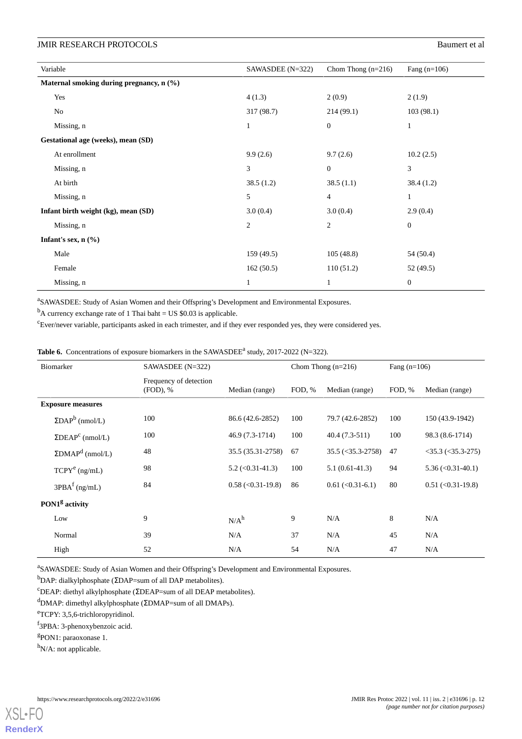| Variable                                 | SAWASDEE $(N=322)$ | Chom Thong $(n=216)$ | Fang $(n=106)$   |
|------------------------------------------|--------------------|----------------------|------------------|
| Maternal smoking during pregnancy, n (%) |                    |                      |                  |
| Yes                                      | 4(1.3)             | 2(0.9)               | 2(1.9)           |
| No                                       | 317(98.7)          | 214(99.1)            | 103(98.1)        |
| Missing, n                               | 1                  | $\overline{0}$       | $\mathbf{1}$     |
| Gestational age (weeks), mean (SD)       |                    |                      |                  |
| At enrollment                            | 9.9(2.6)           | 9.7(2.6)             | 10.2(2.5)        |
| Missing, n                               | 3                  | $\mathbf{0}$         | 3                |
| At birth                                 | 38.5(1.2)          | 38.5(1.1)            | 38.4(1.2)        |
| Missing, n                               | 5                  | $\overline{4}$       | $\mathbf{1}$     |
| Infant birth weight (kg), mean (SD)      | 3.0(0.4)           | 3.0(0.4)             | 2.9(0.4)         |
| Missing, n                               | $\overline{2}$     | 2                    | $\boldsymbol{0}$ |
| Infant's sex, $n$ (%)                    |                    |                      |                  |
| Male                                     | 159(49.5)          | 105(48.8)            | 54 (50.4)        |
| Female                                   | 162(50.5)          | 110(51.2)            | 52 (49.5)        |
| Missing, n                               | $\mathbf{1}$       | 1                    | $\boldsymbol{0}$ |

<sup>a</sup>SAWASDEE: Study of Asian Women and their Offspring's Development and Environmental Exposures.

<span id="page-11-0"></span> $<sup>b</sup>A$  currency exchange rate of 1 Thai baht = US \$0.03 is applicable.</sup>

<sup>c</sup>Ever/never variable, participants asked in each trimester, and if they ever responded yes, they were considered yes.

**Table 6.** Concentrations of exposure biomarkers in the SAWASDEE<sup> $a$ </sup> study, 2017-2022 (N=322).

| Biomarker                  |                                     | SAWASDEE (N=322)                      |                                      | Chom Thong $(n=216)$ | Fang $(n=106)$                         |        |                                           |
|----------------------------|-------------------------------------|---------------------------------------|--------------------------------------|----------------------|----------------------------------------|--------|-------------------------------------------|
|                            |                                     | Frequency of detection<br>$(FOD)$ , % | Median (range)                       | FOD, %               | Median (range)                         | FOD, % | Median (range)                            |
|                            | <b>Exposure measures</b>            |                                       |                                      |                      |                                        |        |                                           |
|                            | $\Sigma\text{DAP}^b$ (nmol/L)       | 100                                   | 86.6 (42.6-2852)                     | 100                  | 79.7 (42.6-2852)                       | 100    | 150 (43.9-1942)                           |
|                            | $\Sigma DEAP^c$ (nmol/L)            | 100                                   | 46.9 (7.3-1714)                      | 100                  | $40.4(7.3-511)$                        | 100    | 98.3 (8.6-1714)                           |
|                            | $\Sigma$ DMAP <sup>d</sup> (nmol/L) | 48                                    | 35.5 (35.31-2758)                    | 67                   | $35.5 \left( \leq 35.3 - 2758 \right)$ | 47     | $<$ 35.3 ( $<$ 35.3-275)                  |
|                            | $TCPY^e (ng/mL)$                    | 98                                    | $5.2 \left( \le 0.31 - 41.3 \right)$ | 100                  | $5.1(0.61-41.3)$                       | 94     | $5.36 \left( \langle 0.31 - 40.1 \right)$ |
|                            | $3PBAf$ (ng/mL)                     | 84                                    | $0.58$ (< $0.31-19.8$ )              | 86                   | $0.61$ (<0.31-6.1)                     | 80     | $0.51$ (< $0.31$ -19.8)                   |
| PON1 <sup>g</sup> activity |                                     |                                       |                                      |                      |                                        |        |                                           |
|                            | Low                                 | 9                                     | N/A <sup>h</sup>                     | 9                    | N/A                                    | 8      | N/A                                       |
|                            | Normal                              | 39                                    | N/A                                  | 37                   | N/A                                    | 45     | N/A                                       |
|                            | High                                | 52                                    | N/A                                  | 54                   | N/A                                    | 47     | N/A                                       |

<sup>a</sup>SAWASDEE: Study of Asian Women and their Offspring's Development and Environmental Exposures.

<sup>b</sup>DAP: dialkylphosphate (ΣDAP=sum of all DAP metabolites).

<sup>c</sup>DEAP: diethyl alkylphosphate (ΣDEAP=sum of all DEAP metabolites).

<sup>d</sup>DMAP: dimethyl alkylphosphate (ΣDMAP=sum of all DMAPs).

<sup>e</sup>TCPY: 3,5,6-trichloropyridinol.

f 3PBA: 3-phenoxybenzoic acid.

<sup>g</sup>PON1: paraoxonase 1.

h<sub>N</sub>/A: not applicable.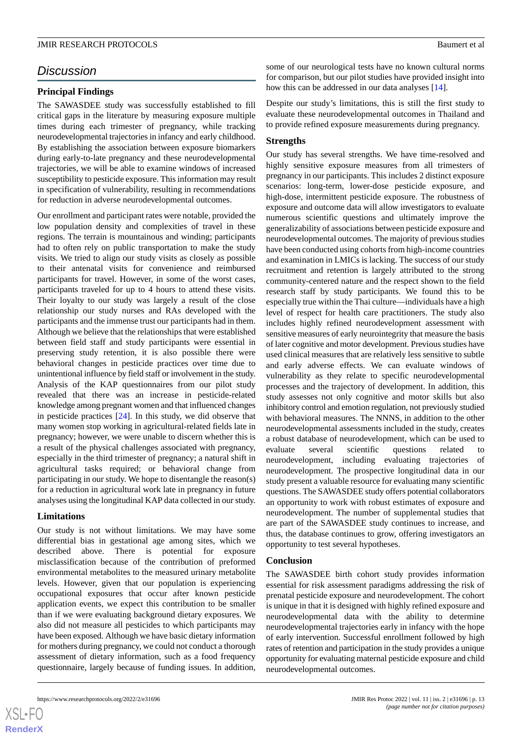# *Discussion*

### **Principal Findings**

The SAWASDEE study was successfully established to fill critical gaps in the literature by measuring exposure multiple times during each trimester of pregnancy, while tracking neurodevelopmental trajectories in infancy and early childhood. By establishing the association between exposure biomarkers during early-to-late pregnancy and these neurodevelopmental trajectories, we will be able to examine windows of increased susceptibility to pesticide exposure. This information may result in specification of vulnerability, resulting in recommendations for reduction in adverse neurodevelopmental outcomes.

Our enrollment and participant rates were notable, provided the low population density and complexities of travel in these regions. The terrain is mountainous and winding; participants had to often rely on public transportation to make the study visits. We tried to align our study visits as closely as possible to their antenatal visits for convenience and reimbursed participants for travel. However, in some of the worst cases, participants traveled for up to 4 hours to attend these visits. Their loyalty to our study was largely a result of the close relationship our study nurses and RAs developed with the participants and the immense trust our participants had in them. Although we believe that the relationships that were established between field staff and study participants were essential in preserving study retention, it is also possible there were behavioral changes in pesticide practices over time due to unintentional influence by field staff or involvement in the study. Analysis of the KAP questionnaires from our pilot study revealed that there was an increase in pesticide-related knowledge among pregnant women and that influenced changes in pesticide practices [\[24](#page-14-13)]. In this study, we did observe that many women stop working in agricultural-related fields late in pregnancy; however, we were unable to discern whether this is a result of the physical challenges associated with pregnancy, especially in the third trimester of pregnancy; a natural shift in agricultural tasks required; or behavioral change from participating in our study. We hope to disentangle the reason(s) for a reduction in agricultural work late in pregnancy in future analyses using the longitudinal KAP data collected in our study.

# **Limitations**

Our study is not without limitations. We may have some differential bias in gestational age among sites, which we described above. There is potential for exposure misclassification because of the contribution of preformed environmental metabolites to the measured urinary metabolite levels. However, given that our population is experiencing occupational exposures that occur after known pesticide application events, we expect this contribution to be smaller than if we were evaluating background dietary exposures. We also did not measure all pesticides to which participants may have been exposed. Although we have basic dietary information for mothers during pregnancy, we could not conduct a thorough assessment of dietary information, such as a food frequency questionnaire, largely because of funding issues. In addition,

some of our neurological tests have no known cultural norms for comparison, but our pilot studies have provided insight into how this can be addressed in our data analyses [\[14](#page-14-4)].

Despite our study's limitations, this is still the first study to evaluate these neurodevelopmental outcomes in Thailand and to provide refined exposure measurements during pregnancy.

#### **Strengths**

Our study has several strengths. We have time-resolved and highly sensitive exposure measures from all trimesters of pregnancy in our participants. This includes 2 distinct exposure scenarios: long-term, lower-dose pesticide exposure, and high-dose, intermittent pesticide exposure. The robustness of exposure and outcome data will allow investigators to evaluate numerous scientific questions and ultimately improve the generalizability of associations between pesticide exposure and neurodevelopmental outcomes. The majority of previous studies have been conducted using cohorts from high-income countries and examination in LMICs is lacking. The success of our study recruitment and retention is largely attributed to the strong community-centered nature and the respect shown to the field research staff by study participants. We found this to be especially true within the Thai culture—individuals have a high level of respect for health care practitioners. The study also includes highly refined neurodevelopment assessment with sensitive measures of early neurointegrity that measure the basis of later cognitive and motor development. Previous studies have used clinical measures that are relatively less sensitive to subtle and early adverse effects. We can evaluate windows of vulnerability as they relate to specific neurodevelopmental processes and the trajectory of development. In addition, this study assesses not only cognitive and motor skills but also inhibitory control and emotion regulation, not previously studied with behavioral measures. The NNNS, in addition to the other neurodevelopmental assessments included in the study, creates a robust database of neurodevelopment, which can be used to evaluate several scientific questions related to neurodevelopment, including evaluating trajectories of neurodevelopment. The prospective longitudinal data in our study present a valuable resource for evaluating many scientific questions. The SAWASDEE study offers potential collaborators an opportunity to work with robust estimates of exposure and neurodevelopment. The number of supplemental studies that are part of the SAWASDEE study continues to increase, and thus, the database continues to grow, offering investigators an opportunity to test several hypotheses.

#### **Conclusion**

The SAWASDEE birth cohort study provides information essential for risk assessment paradigms addressing the risk of prenatal pesticide exposure and neurodevelopment. The cohort is unique in that it is designed with highly refined exposure and neurodevelopmental data with the ability to determine neurodevelopmental trajectories early in infancy with the hope of early intervention. Successful enrollment followed by high rates of retention and participation in the study provides a unique opportunity for evaluating maternal pesticide exposure and child neurodevelopmental outcomes.



 $XSI - F($ **[RenderX](http://www.renderx.com/)**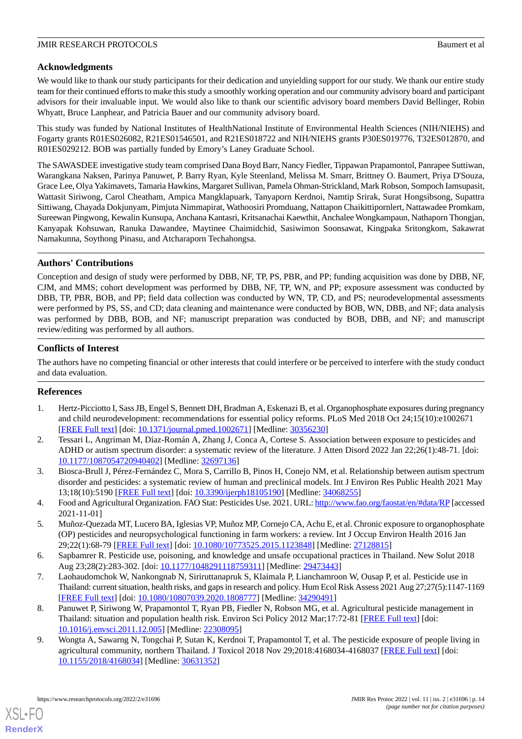# **Acknowledgments**

We would like to thank our study participants for their dedication and unyielding support for our study. We thank our entire study team for their continued efforts to make this study a smoothly working operation and our community advisory board and participant advisors for their invaluable input. We would also like to thank our scientific advisory board members David Bellinger, Robin Whyatt, Bruce Lanphear, and Patricia Bauer and our community advisory board.

This study was funded by National Institutes of HealthNational Institute of Environmental Health Sciences (NIH/NIEHS) and Fogarty grants R01ES026082, R21ES01546501, and R21ES018722 and NIH/NIEHS grants P30ES019776, T32ES012870, and R01ES029212. BOB was partially funded by Emory's Laney Graduate School.

The SAWASDEE investigative study team comprised Dana Boyd Barr, Nancy Fiedler, Tippawan Prapamontol, Panrapee Suttiwan, Warangkana Naksen, Parinya Panuwet, P. Barry Ryan, Kyle Steenland, Melissa M. Smarr, Brittney O. Baumert, Priya D'Souza, Grace Lee, Olya Yakimavets, Tamaria Hawkins, Margaret Sullivan, Pamela Ohman-Strickland, Mark Robson, Sompoch Iamsupasit, Wattasit Siriwong, Carol Cheatham, Ampica Mangklapuark, Tanyaporn Kerdnoi, Namtip Srirak, Surat Hongsibsong, Supattra Sittiwang, Chayada Dokjunyam, Pimjuta Nimmapirat, Wathoosiri Promduang, Nattapon Chaikittipornlert, Nattawadee Promkam, Sureewan Pingwong, Kewalin Kunsupa, Anchana Kantasri, Kritsanachai Kaewthit, Anchalee Wongkampaun, Nathaporn Thongjan, Kanyapak Kohsuwan, Ranuka Dawandee, Maytinee Chaimidchid, Sasiwimon Soonsawat, Kingpaka Sritongkom, Sakawrat Namakunna, Soythong Pinasu, and Atcharaporn Techahongsa.

# **Authors' Contributions**

Conception and design of study were performed by DBB, NF, TP, PS, PBR, and PP; funding acquisition was done by DBB, NF, CJM, and MMS; cohort development was performed by DBB, NF, TP, WN, and PP; exposure assessment was conducted by DBB, TP, PBR, BOB, and PP; field data collection was conducted by WN, TP, CD, and PS; neurodevelopmental assessments were performed by PS, SS, and CD; data cleaning and maintenance were conducted by BOB, WN, DBB, and NF; data analysis was performed by DBB, BOB, and NF; manuscript preparation was conducted by BOB, DBB, and NF; and manuscript review/editing was performed by all authors.

# **Conflicts of Interest**

<span id="page-13-0"></span>The authors have no competing financial or other interests that could interfere or be perceived to interfere with the study conduct and data evaluation.

# **References**

- 1. Hertz-Picciotto I, Sass JB, Engel S, Bennett DH, Bradman A, Eskenazi B, et al. Organophosphate exposures during pregnancy and child neurodevelopment: recommendations for essential policy reforms. PLoS Med 2018 Oct 24;15(10):e1002671 [[FREE Full text](https://dx.plos.org/10.1371/journal.pmed.1002671)] [doi: [10.1371/journal.pmed.1002671](http://dx.doi.org/10.1371/journal.pmed.1002671)] [Medline: [30356230](http://www.ncbi.nlm.nih.gov/entrez/query.fcgi?cmd=Retrieve&db=PubMed&list_uids=30356230&dopt=Abstract)]
- <span id="page-13-2"></span><span id="page-13-1"></span>2. Tessari L, Angriman M, Díaz-Román A, Zhang J, Conca A, Cortese S. Association between exposure to pesticides and ADHD or autism spectrum disorder: a systematic review of the literature. J Atten Disord 2022 Jan 22;26(1):48-71. [doi: [10.1177/1087054720940402\]](http://dx.doi.org/10.1177/1087054720940402) [Medline: [32697136\]](http://www.ncbi.nlm.nih.gov/entrez/query.fcgi?cmd=Retrieve&db=PubMed&list_uids=32697136&dopt=Abstract)
- <span id="page-13-3"></span>3. Biosca-Brull J, Pérez-Fernández C, Mora S, Carrillo B, Pinos H, Conejo NM, et al. Relationship between autism spectrum disorder and pesticides: a systematic review of human and preclinical models. Int J Environ Res Public Health 2021 May 13;18(10):5190 [[FREE Full text\]](https://www.mdpi.com/resolver?pii=ijerph18105190) [doi: [10.3390/ijerph18105190\]](http://dx.doi.org/10.3390/ijerph18105190) [Medline: [34068255\]](http://www.ncbi.nlm.nih.gov/entrez/query.fcgi?cmd=Retrieve&db=PubMed&list_uids=34068255&dopt=Abstract)
- <span id="page-13-4"></span>4. Food and Agricultural Organization. FAO Stat: Pesticides Use. 2021. URL:<http://www.fao.org/faostat/en/#data/RP>[accessed 2021-11-01]
- <span id="page-13-5"></span>5. Muñoz-Quezada MT, Lucero BA, Iglesias VP, Muñoz MP, Cornejo CA, Achu E, et al. Chronic exposure to organophosphate (OP) pesticides and neuropsychological functioning in farm workers: a review. Int J Occup Environ Health 2016 Jan 29;22(1):68-79 [[FREE Full text](http://europepmc.org/abstract/MED/27128815)] [doi: [10.1080/10773525.2015.1123848\]](http://dx.doi.org/10.1080/10773525.2015.1123848) [Medline: [27128815\]](http://www.ncbi.nlm.nih.gov/entrez/query.fcgi?cmd=Retrieve&db=PubMed&list_uids=27128815&dopt=Abstract)
- <span id="page-13-6"></span>6. Sapbamrer R. Pesticide use, poisoning, and knowledge and unsafe occupational practices in Thailand. New Solut 2018 Aug 23;28(2):283-302. [doi: [10.1177/1048291118759311](http://dx.doi.org/10.1177/1048291118759311)] [Medline: [29473443](http://www.ncbi.nlm.nih.gov/entrez/query.fcgi?cmd=Retrieve&db=PubMed&list_uids=29473443&dopt=Abstract)]
- <span id="page-13-7"></span>7. Laohaudomchok W, Nankongnab N, Siriruttanapruk S, Klaimala P, Lianchamroon W, Ousap P, et al. Pesticide use in Thailand: current situation, health risks, and gaps in research and policy. Hum Ecol Risk Assess 2021 Aug 27;27(5):1147-1169 [[FREE Full text](http://europepmc.org/abstract/MED/34290491)] [doi: [10.1080/10807039.2020.1808777\]](http://dx.doi.org/10.1080/10807039.2020.1808777) [Medline: [34290491](http://www.ncbi.nlm.nih.gov/entrez/query.fcgi?cmd=Retrieve&db=PubMed&list_uids=34290491&dopt=Abstract)]
- 8. Panuwet P, Siriwong W, Prapamontol T, Ryan PB, Fiedler N, Robson MG, et al. Agricultural pesticide management in Thailand: situation and population health risk. Environ Sci Policy 2012 Mar;17:72-81 [[FREE Full text](http://europepmc.org/abstract/MED/22308095)] [doi: [10.1016/j.envsci.2011.12.005\]](http://dx.doi.org/10.1016/j.envsci.2011.12.005) [Medline: [22308095](http://www.ncbi.nlm.nih.gov/entrez/query.fcgi?cmd=Retrieve&db=PubMed&list_uids=22308095&dopt=Abstract)]
- 9. Wongta A, Sawarng N, Tongchai P, Sutan K, Kerdnoi T, Prapamontol T, et al. The pesticide exposure of people living in agricultural community, northern Thailand. J Toxicol 2018 Nov 29;2018:4168034-4168037 [[FREE Full text](https://doi.org/10.1155/2018/4168034)] [doi: [10.1155/2018/4168034\]](http://dx.doi.org/10.1155/2018/4168034) [Medline: [30631352](http://www.ncbi.nlm.nih.gov/entrez/query.fcgi?cmd=Retrieve&db=PubMed&list_uids=30631352&dopt=Abstract)]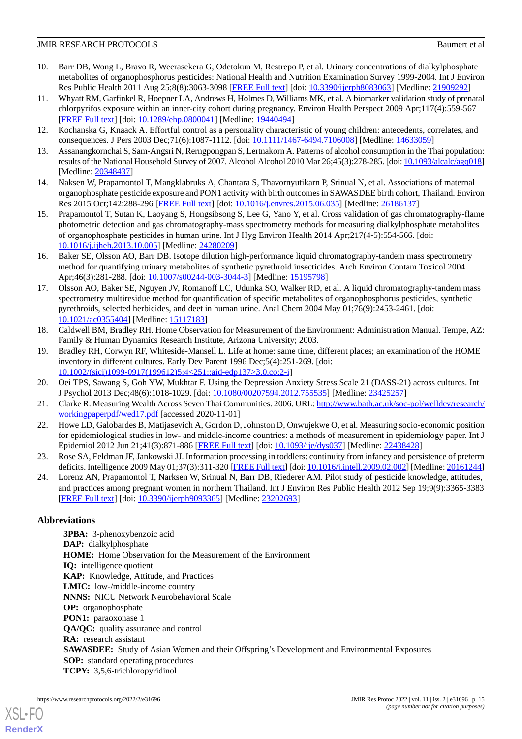- <span id="page-14-0"></span>10. Barr DB, Wong L, Bravo R, Weerasekera G, Odetokun M, Restrepo P, et al. Urinary concentrations of dialkylphosphate metabolites of organophosphorus pesticides: National Health and Nutrition Examination Survey 1999-2004. Int J Environ Res Public Health 2011 Aug 25;8(8):3063-3098 [[FREE Full text](https://www.mdpi.com/resolver?pii=ijerph8083063)] [doi: [10.3390/ijerph8083063](http://dx.doi.org/10.3390/ijerph8083063)] [Medline: [21909292\]](http://www.ncbi.nlm.nih.gov/entrez/query.fcgi?cmd=Retrieve&db=PubMed&list_uids=21909292&dopt=Abstract)
- <span id="page-14-1"></span>11. Whyatt RM, Garfinkel R, Hoepner LA, Andrews H, Holmes D, Williams MK, et al. A biomarker validation study of prenatal chlorpyrifos exposure within an inner-city cohort during pregnancy. Environ Health Perspect 2009 Apr;117(4):559-567 [[FREE Full text](https://ehp.niehs.nih.gov/doi/10.1289/ehp.0800041?url_ver=Z39.88-2003&rfr_id=ori:rid:crossref.org&rfr_dat=cr_pub%3dpubmed)] [doi: [10.1289/ehp.0800041\]](http://dx.doi.org/10.1289/ehp.0800041) [Medline: [19440494](http://www.ncbi.nlm.nih.gov/entrez/query.fcgi?cmd=Retrieve&db=PubMed&list_uids=19440494&dopt=Abstract)]
- <span id="page-14-3"></span><span id="page-14-2"></span>12. Kochanska G, Knaack A. Effortful control as a personality characteristic of young children: antecedents, correlates, and consequences. J Pers 2003 Dec;71(6):1087-1112. [doi: [10.1111/1467-6494.7106008](http://dx.doi.org/10.1111/1467-6494.7106008)] [Medline: [14633059](http://www.ncbi.nlm.nih.gov/entrez/query.fcgi?cmd=Retrieve&db=PubMed&list_uids=14633059&dopt=Abstract)]
- <span id="page-14-4"></span>13. Assanangkornchai S, Sam-Angsri N, Rerngpongpan S, Lertnakorn A. Patterns of alcohol consumption in the Thai population: results of the National Household Survey of 2007. Alcohol Alcohol 2010 Mar 26;45(3):278-285. [doi: [10.1093/alcalc/agq018\]](http://dx.doi.org/10.1093/alcalc/agq018) [Medline: [20348437](http://www.ncbi.nlm.nih.gov/entrez/query.fcgi?cmd=Retrieve&db=PubMed&list_uids=20348437&dopt=Abstract)]
- <span id="page-14-5"></span>14. Naksen W, Prapamontol T, Mangklabruks A, Chantara S, Thavornyutikarn P, Srinual N, et al. Associations of maternal organophosphate pesticide exposure and PON1 activity with birth outcomes in SAWASDEE birth cohort, Thailand. Environ Res 2015 Oct;142:288-296 [[FREE Full text](http://europepmc.org/abstract/MED/26186137)] [doi: [10.1016/j.envres.2015.06.035](http://dx.doi.org/10.1016/j.envres.2015.06.035)] [Medline: [26186137\]](http://www.ncbi.nlm.nih.gov/entrez/query.fcgi?cmd=Retrieve&db=PubMed&list_uids=26186137&dopt=Abstract)
- 15. Prapamontol T, Sutan K, Laoyang S, Hongsibsong S, Lee G, Yano Y, et al. Cross validation of gas chromatography-flame photometric detection and gas chromatography-mass spectrometry methods for measuring dialkylphosphate metabolites of organophosphate pesticides in human urine. Int J Hyg Environ Health 2014 Apr;217(4-5):554-566. [doi: [10.1016/j.ijheh.2013.10.005\]](http://dx.doi.org/10.1016/j.ijheh.2013.10.005) [Medline: [24280209](http://www.ncbi.nlm.nih.gov/entrez/query.fcgi?cmd=Retrieve&db=PubMed&list_uids=24280209&dopt=Abstract)]
- <span id="page-14-6"></span>16. Baker SE, Olsson AO, Barr DB. Isotope dilution high-performance liquid chromatography-tandem mass spectrometry method for quantifying urinary metabolites of synthetic pyrethroid insecticides. Arch Environ Contam Toxicol 2004 Apr;46(3):281-288. [doi: [10.1007/s00244-003-3044-3](http://dx.doi.org/10.1007/s00244-003-3044-3)] [Medline: [15195798\]](http://www.ncbi.nlm.nih.gov/entrez/query.fcgi?cmd=Retrieve&db=PubMed&list_uids=15195798&dopt=Abstract)
- <span id="page-14-7"></span>17. Olsson AO, Baker SE, Nguyen JV, Romanoff LC, Udunka SO, Walker RD, et al. A liquid chromatography-tandem mass spectrometry multiresidue method for quantification of specific metabolites of organophosphorus pesticides, synthetic pyrethroids, selected herbicides, and deet in human urine. Anal Chem 2004 May 01;76(9):2453-2461. [doi: [10.1021/ac0355404\]](http://dx.doi.org/10.1021/ac0355404) [Medline: [15117183](http://www.ncbi.nlm.nih.gov/entrez/query.fcgi?cmd=Retrieve&db=PubMed&list_uids=15117183&dopt=Abstract)]
- <span id="page-14-8"></span>18. Caldwell BM, Bradley RH. Home Observation for Measurement of the Environment: Administration Manual. Tempe, AZ: Family & Human Dynamics Research Institute, Arizona University; 2003.
- <span id="page-14-10"></span><span id="page-14-9"></span>19. Bradley RH, Corwyn RF, Whiteside-Mansell L. Life at home: same time, different places; an examination of the HOME inventory in different cultures. Early Dev Parent 1996 Dec;5(4):251-269. [doi: [10.1002/\(sici\)1099-0917\(199612\)5:4<251::aid-edp137>3.0.co;2-i](http://dx.doi.org/10.1002/(sici)1099-0917(199612)5:4<251::aid-edp137>3.0.co;2-i)]
- <span id="page-14-11"></span>20. Oei TPS, Sawang S, Goh YW, Mukhtar F. Using the Depression Anxiety Stress Scale 21 (DASS-21) across cultures. Int J Psychol 2013 Dec;48(6):1018-1029. [doi: [10.1080/00207594.2012.755535\]](http://dx.doi.org/10.1080/00207594.2012.755535) [Medline: [23425257\]](http://www.ncbi.nlm.nih.gov/entrez/query.fcgi?cmd=Retrieve&db=PubMed&list_uids=23425257&dopt=Abstract)
- <span id="page-14-12"></span>21. Clarke R. Measuring Wealth Across Seven Thai Communities. 2006. URL: [http://www.bath.ac.uk/soc-pol/welldev/research/](http://www.bath.ac.uk/soc-pol/welldev/research/workingpaperpdf/wed17.pdf) [workingpaperpdf/wed17.pdf](http://www.bath.ac.uk/soc-pol/welldev/research/workingpaperpdf/wed17.pdf) [accessed 2020-11-01]
- <span id="page-14-13"></span>22. Howe LD, Galobardes B, Matijasevich A, Gordon D, Johnston D, Onwujekwe O, et al. Measuring socio-economic position for epidemiological studies in low- and middle-income countries: a methods of measurement in epidemiology paper. Int J Epidemiol 2012 Jun 21;41(3):871-886 [[FREE Full text](http://europepmc.org/abstract/MED/22438428)] [doi: [10.1093/ije/dys037](http://dx.doi.org/10.1093/ije/dys037)] [Medline: [22438428](http://www.ncbi.nlm.nih.gov/entrez/query.fcgi?cmd=Retrieve&db=PubMed&list_uids=22438428&dopt=Abstract)]
- 23. Rose SA, Feldman JF, Jankowski JJ. Information processing in toddlers: continuity from infancy and persistence of preterm deficits. Intelligence 2009 May 01;37(3):311-320 [[FREE Full text\]](http://europepmc.org/abstract/MED/20161244) [doi: [10.1016/j.intell.2009.02.002](http://dx.doi.org/10.1016/j.intell.2009.02.002)] [Medline: [20161244](http://www.ncbi.nlm.nih.gov/entrez/query.fcgi?cmd=Retrieve&db=PubMed&list_uids=20161244&dopt=Abstract)]
- 24. Lorenz AN, Prapamontol T, Narksen W, Srinual N, Barr DB, Riederer AM. Pilot study of pesticide knowledge, attitudes, and practices among pregnant women in northern Thailand. Int J Environ Res Public Health 2012 Sep 19;9(9):3365-3383 [[FREE Full text](https://www.mdpi.com/resolver?pii=ijerph9093365)] [doi: [10.3390/ijerph9093365](http://dx.doi.org/10.3390/ijerph9093365)] [Medline: [23202693\]](http://www.ncbi.nlm.nih.gov/entrez/query.fcgi?cmd=Retrieve&db=PubMed&list_uids=23202693&dopt=Abstract)

# **Abbreviations**

**3PBA:** 3-phenoxybenzoic acid **DAP:** dialkylphosphate **HOME:** Home Observation for the Measurement of the Environment **IQ:** intelligence quotient **KAP:** Knowledge, Attitude, and Practices **LMIC:** low-/middle-income country **NNNS:** NICU Network Neurobehavioral Scale **OP:** organophosphate **PON1:** paraoxonase 1 **QA/QC:** quality assurance and control **RA:** research assistant **SAWASDEE:** Study of Asian Women and their Offspring's Development and Environmental Exposures **SOP:** standard operating procedures **TCPY:** 3,5,6-trichloropyridinol